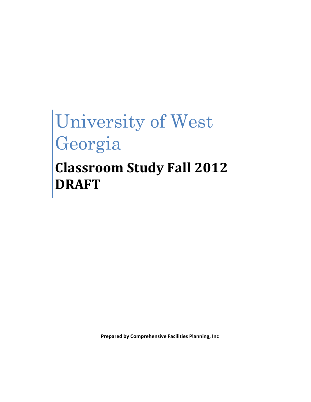# University of West Georgia **Classroom Study Fall 2012 DRAFT**

**Prepared by Comprehensive Facilities Planning, Inc.**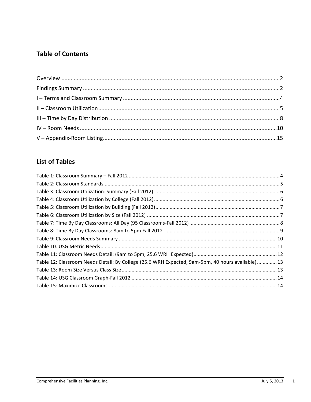# **Table of Contents**

# **List of Tables**

| Table 12: Classroom Needs Detail: By College (25.6 WRH Expected, 9am-5pm, 40 hours available)13 |  |
|-------------------------------------------------------------------------------------------------|--|
|                                                                                                 |  |
|                                                                                                 |  |
|                                                                                                 |  |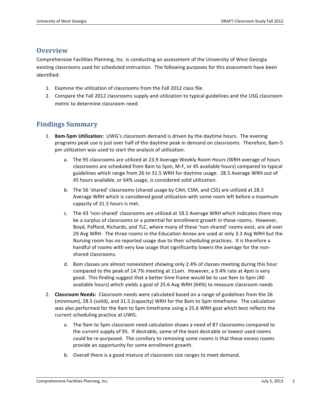## **Overview**

Comprehensive Facilities Planning, Inc. is conducting an assessment of the University of West Georgia existing classrooms used for scheduled instruction. The following purposes for this assessment have been identified:

- 1. Examine the utilization of classrooms from the Fall 2012 class file.
- 2. Compare the Fall 2012 classrooms supply and utilization to typical guidelines and the USG classroom metric to determine classroom need.

## **Findings Summary**

- 1. **8am-5pm Utilization:** UWG's classroom demand is driven by the daytime hours. The evening programs peak use is just over half of the daytime peak in demand on classrooms. Therefore, 8am-5 pm utilization was used to start the analysis of utilization.
	- a. The 95 classrooms are utilized at 23.9 Average Weekly Room Hours (WRH-average of hours classrooms are scheduled from 8am to 5pm, M-F, or 45 available hours) compared to typical guidelines which range from 26 to 31.5 WRH for daytime usage. 28.5 Average WRH out of 45 hours available, or 64% usage, is considered solid utilization.
	- b. The 56 'shared' classrooms (shared usage by CAH, CSM, and CSS) are utilized at 28.3 Average WRH which is considered good utilization with some room left before a maximum capacity of 31.5 hours is met.
	- c. The 43 'non-shared' classrooms are utilized at 18.5 Average WRH which indicates there may be a surplus of classrooms or a potential for enrollment growth in these rooms. However, Boyd, Pafford, Richards, and TLC, where many of these 'non-shared' rooms exist, are all over 29 Avg WRH. The three rooms in the Education Annex are used at only 3.3 Avg WRH but the Nursing room has no reported usage due to their scheduling practices. It is therefore a handful of rooms with very low usage that significantly lowers the average for the nonshared classrooms.
	- d. 8am classes are almost nonexistent showing only 2.4% of classes meeting during this hour compared to the peak of 14.7% meeting at 11am. However, a 9.4% rate at 4pm is very good. This finding suggest that a better time frame would be to use 9am to 5pm (40) available hours) which yields a goal of 25.6 Avg WRH (64%) to measure classroom needs
- 2. Classroom Needs: Classroom needs were calculated based on a range of guidelines from the 26 (minimum), 28.5 (solid), and 31.5 (capacity) WRH for the 8am to 5pm timeframe. The calculation was also performed for the 9am to 5pm timeframe using a 25.6 WRH goal which best reflects the current scheduling practice at UWG.
	- a. The 9am to 5pm classroom need calculation shows a need of 87 classrooms compared to the current supply of 95. If desirable, some of the least desirable or lowest used rooms could be re-purposed. The corollary to removing some rooms is that these excess rooms provide an opportunity for some enrollment growth.
	- b. Overall there is a good mixture of classroom size ranges to meet demand.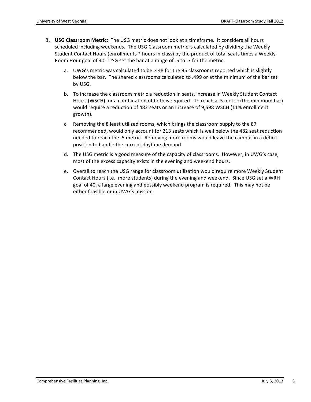- 3. **USG Classroom Metric:** The USG metric does not look at a timeframe. It considers all hours scheduled including weekends. The USG Classroom metric is calculated by dividing the Weekly Student Contact Hours (enrollments \* hours in class) by the product of total seats times a Weekly Room Hour goal of 40. USG set the bar at a range of .5 to .7 for the metric.
	- a. UWG's metric was calculated to be .448 for the 95 classrooms reported which is slightly below the bar. The shared classrooms calculated to .499 or at the minimum of the bar set by USG.
	- b. To increase the classroom metric a reduction in seats, increase in Weekly Student Contact Hours (WSCH), or a combination of both is required. To reach a .5 metric (the minimum bar) would require a reduction of 482 seats or an increase of 9,598 WSCH (11% enrollment growth).
	- c. Removing the 8 least utilized rooms, which brings the classroom supply to the 87 recommended, would only account for 213 seats which is well below the 482 seat reduction needed to reach the .5 metric. Removing more rooms would leave the campus in a deficit position to handle the current daytime demand.
	- d. The USG metric is a good measure of the capacity of classrooms. However, in UWG's case, most of the excess capacity exists in the evening and weekend hours.
	- e. Overall to reach the USG range for classroom utilization would require more Weekly Student Contact Hours (i.e., more students) during the evening and weekend. Since USG set a WRH goal of 40, a large evening and possibly weekend program is required. This may not be either feasible or in UWG's mission.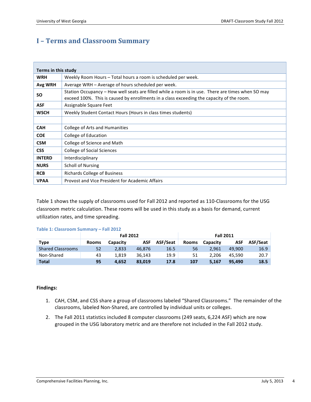# **I – Terms and Classroom Summary**

| Terms in this study |                                                                                                                                                                                                |
|---------------------|------------------------------------------------------------------------------------------------------------------------------------------------------------------------------------------------|
| <b>WRH</b>          | Weekly Room Hours – Total hours a room is scheduled per week.                                                                                                                                  |
| Avg WRH             | Average WRH – Average of hours scheduled per week.                                                                                                                                             |
| SΟ                  | Station Occupancy - How well seats are filled while a room is in use. There are times when SO may<br>exceed 100%. This is caused by enrollments in a class exceeding the capacity of the room. |
| <b>ASF</b>          | Assignable Square Feet                                                                                                                                                                         |
| <b>WSCH</b>         | Weekly Student Contact Hours (Hours in class times students)                                                                                                                                   |
|                     |                                                                                                                                                                                                |
| <b>CAH</b>          | College of Arts and Humanities                                                                                                                                                                 |
| <b>COE</b>          | College of Education                                                                                                                                                                           |
| <b>CSM</b>          | College of Science and Math                                                                                                                                                                    |
| <b>CSS</b>          | College of Social Sciences                                                                                                                                                                     |
| <b>INTERD</b>       | Interdisciplinary                                                                                                                                                                              |
| <b>NURS</b>         | <b>Scholl of Nursing</b>                                                                                                                                                                       |
| <b>RCB</b>          | Richards College of Business                                                                                                                                                                   |
| <b>VPAA</b>         | Provost and Vice President for Academic Affairs                                                                                                                                                |

Table 1 shows the supply of classrooms used for Fall 2012 and reported as 110-Classrooms for the USG classroom metric calculation. These rooms will be used in this study as a basis for demand, current utilization rates, and time spreading.

|  | Table 1: Classroom Summary - Fall 2012 |  |
|--|----------------------------------------|--|
|  |                                        |  |

|                          |              |          | <b>Fall 2012</b> |          | <b>Fall 2011</b> |          |            |          |
|--------------------------|--------------|----------|------------------|----------|------------------|----------|------------|----------|
| Type                     | <b>Rooms</b> | Capacity | ASF              | ASF/Seat | <b>Rooms</b>     | Capacity | <b>ASF</b> | ASF/Seat |
| <b>Shared Classrooms</b> | 52           | 2.833    | 46.876           | 16.5     | 56               | 2.961    | 49.900     | 16.9     |
| Non-Shared               | 43           | 1.819    | 36.143           | 19.9     | 51               | 2.206    | 45.590     | 20.7     |
| <b>Total</b>             | 95           | 4.652    | 83.019           | 17.8     | 107              | 5.167    | 95.490     | 18.5     |

## **Findings:**

- 1. CAH, CSM, and CSS share a group of classrooms labeled "Shared Classrooms." The remainder of the classrooms, labeled Non-Shared, are controlled by individual units or colleges.
- 2. The Fall 2011 statistics included 8 computer classrooms (249 seats, 6,224 ASF) which are now grouped in the USG laboratory metric and are therefore not included in the Fall 2012 study.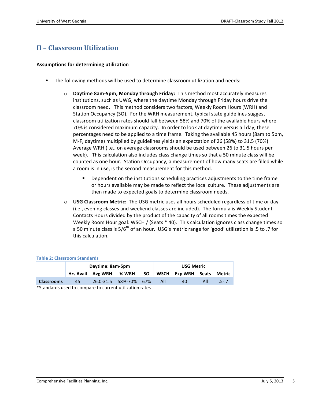# **II – Classroom Utilization**

## **Assumptions for determining utilization**

- The following methods will be used to determine classroom utilization and needs:
	- **Daytime 8am-5pm, Monday through Friday:** This method most accurately measures institutions, such as UWG, where the daytime Monday through Friday hours drive the classroom need. This method considers two factors, Weekly Room Hours (WRH) and Station Occupancy (SO). For the WRH measurement, typical state guidelines suggest classroom utilization rates should fall between 58% and 70% of the available hours where 70% is considered maximum capacity. In order to look at daytime versus all day, these percentages need to be applied to a time frame. Taking the available 45 hours (8am to 5pm, M-F, daytime) multiplied by guidelines yields an expectation of 26 (58%) to 31.5 (70%) Average WRH (i.e., on average classrooms should be used between 26 to 31.5 hours per week). This calculation also includes class change times so that a 50 minute class will be counted as one hour. Station Occupancy, a measurement of how many seats are filled while a room is in use, is the second measurement for this method.
		- Dependent on the institutions scheduling practices adjustments to the time frame or hours available may be made to reflect the local culture. These adjustments are then made to expected goals to determine classroom needs.
	- $\circ$  **USG Classroom Metric:** The USG metric uses all hours scheduled regardless of time or day (i.e., evening classes and weekend classes are included). The formula is Weekly Student Contacts Hours divided by the product of the capacity of all rooms times the expected Weekly Room Hour goal: WSCH / (Seats  $*$  40). This calculation ignores class change times so a 50 minute class is  $5/6<sup>th</sup>$  of an hour. USG's metric range for 'good' utilization is .5 to .7 for this calculation.

|                                                                      |    | Daytime: 8am-5pm  |                       | <b>USG Metric</b> |     |                       |     |           |
|----------------------------------------------------------------------|----|-------------------|-----------------------|-------------------|-----|-----------------------|-----|-----------|
|                                                                      |    | Hrs Avail Avg WRH | % WRH                 |                   |     | SO WSCH Exp WRH Seats |     | Metric    |
| <b>Classrooms</b>                                                    | 45 |                   | 26.0-31.5 58%-70% 67% |                   | All | 40                    | All | $.5 - .7$ |
| *Chain dende institute de sensors en het ennement natte eaten neares |    |                   |                       |                   |     |                       |     |           |

#### **Table 2: Classroom Standards**

\*Standards used to compare to current utilization rates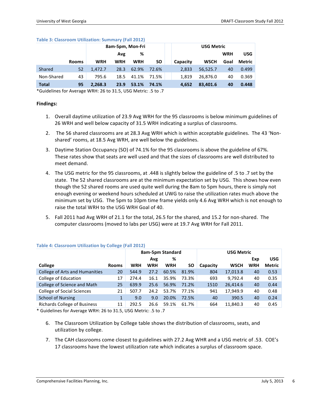|              |              |            | 8am-5pm, Mon-Fri |            |           |          | <b>USG Metric</b> |            |            |
|--------------|--------------|------------|------------------|------------|-----------|----------|-------------------|------------|------------|
|              |              |            | Avg              | %          |           |          |                   | <b>WRH</b> | <b>USG</b> |
|              | <b>Rooms</b> | <b>WRH</b> | <b>WRH</b>       | <b>WRH</b> | <b>SO</b> | Capacity | <b>WSCH</b>       | Goal       | Metric     |
| Shared       | 52           | 1.472.7    | 28.3             | 62.9%      | 72.6%     | 2,833    | 56,525.7          | 40         | 0.499      |
| Non-Shared   | 43           | 795.6      | 18.5             | 41.1%      | 71.5%     | 1.819    | 26.876.0          | 40         | 0.369      |
| <b>Total</b> | 95           | 2.268.3    | 23.9             | 53.1%      | 74.1%     | 4.652    | 83.401.6          | 40         | 0.448      |

#### **Table 3: Classroom Utilization: Summary (Fall 2012)**

\*Guidelines for Average WRH: 26 to 31.5, USG Metric: .5 to .7

## **Findings:**

- 1. Overall daytime utilization of 23.9 Avg WRH for the 95 classrooms is below minimum guidelines of 26 WRH and well below capacity of 31.5 WRH indicating a surplus of classrooms.
- 2. The 56 shared classrooms are at 28.3 Avg WRH which is within acceptable guidelines. The 43 'Nonshared' rooms, at 18.5 Avg WRH, are well below the guidelines.
- 3. Daytime Station Occupancy (SO) of 74.1% for the 95 classrooms is above the guideline of 67%. These rates show that seats are well used and that the sizes of classrooms are well distributed to meet demand.
- 4. The USG metric for the 95 classrooms, at .448 is slightly below the guideline of .5 to .7 set by the state. The 52 shared classrooms are at the minimum expectation set by USG. This shows how even though the 52 shared rooms are used quite well during the 8am to 5pm hours, there is simply not enough evening or weekend hours scheduled at UWG to raise the utilization rates much above the minimum set by USG. The 5pm to 10pm time frame yields only 4.6 Avg WRH which is not enough to raise the total WRH to the USG WRH Goal of 40.
- 5. Fall 2011 had Avg WRH of 21.1 for the total, 26.5 for the shared, and 15.2 for non-shared. The computer classrooms (moved to labs per USG) were at 19.7 Avg WRH for Fall 2011.

|                                     |              | 8am-5pm Standard |            |            |       |          | <b>USG Metric</b> |            |            |  |  |
|-------------------------------------|--------------|------------------|------------|------------|-------|----------|-------------------|------------|------------|--|--|
|                                     |              |                  | Avg        | %          |       |          |                   | Exp        | <b>USG</b> |  |  |
| <b>College</b>                      | <b>Rooms</b> | <b>WRH</b>       | <b>WRH</b> | <b>WRH</b> | SΟ    | Capacity | <b>WSCH</b>       | <b>WRH</b> | Metric     |  |  |
| College of Arts and Humanities      | 20           | 544.9            | 27.2       | 60.5%      | 81.9% | 804      | 17,013.8          | 40         | 0.53       |  |  |
| College of Education                | 17           | 274.4            | 16.1       | 35.9%      | 73.3% | 693      | 9,792.4           | 40         | 0.35       |  |  |
| College of Science and Math         | 25           | 639.9            | 25.6       | 56.9%      | 71.2% | 1510     | 26,414.6          | 40         | 0.44       |  |  |
| <b>College of Social Sciences</b>   | 21           | 507.7            | 24.2       | 53.7%      | 77.1% | 941      | 17,949.9          | 40         | 0.48       |  |  |
| <b>School of Nursing</b>            |              | 9.0              | 9.0        | 20.0%      | 72.5% | 40       | 390.5             | 40         | 0.24       |  |  |
| <b>Richards College of Business</b> | 11           | 292.5            | 26.6       | 59.1%      | 61.7% | 664      | 11,840.3          | 40         | 0.45       |  |  |
|                                     |              |                  |            |            |       |          |                   |            |            |  |  |

## **Table 4: Classroom Utilization by College (Fall 2012)**

\* Guidelines for Average WRH: 26 to 31.5, USG Metric: .5 to .7

- 6. The Classroom Utilization by College table shows the distribution of classrooms, seats, and utilization by college.
- 7. The CAH classrooms come closest to guidelines with 27.2 Avg WHR and a USG metric of .53. COE's 17 classrooms have the lowest utilization rate which indicates a surplus of classroom space.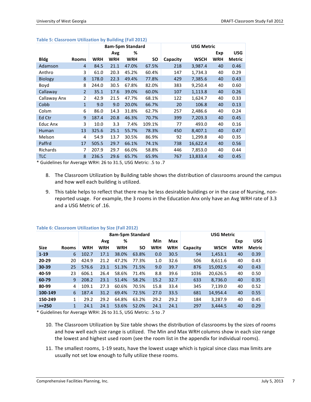|                 |                | 8am-5pm Standard |            |            |           | <b>USG Metric</b> |             |            |               |  |
|-----------------|----------------|------------------|------------|------------|-----------|-------------------|-------------|------------|---------------|--|
|                 |                |                  | Avg        | %          |           |                   |             | Exp        | <b>USG</b>    |  |
| <b>Bldg</b>     | <b>Rooms</b>   | <b>WRH</b>       | <b>WRH</b> | <b>WRH</b> | <b>SO</b> | Capacity          | <b>WSCH</b> | <b>WRH</b> | <b>Metric</b> |  |
| Adamson         | $\overline{4}$ | 84.5             | 21.1       | 47.0%      | 67.5%     | 218               | 3,987.4     | 40         | 0.46          |  |
| Anthro          | 3              | 61.0             | 20.3       | 45.2%      | 60.4%     | 147               | 1,734.3     | 40         | 0.29          |  |
| <b>Biology</b>  | 8              | 178.0            | 22.3       | 49.4%      | 77.8%     | 429               | 7,385.6     | 40         | 0.43          |  |
| Boyd            | 8              | 244.0            | 30.5       | 67.8%      | 82.0%     | 383               | 9,250.4     | 40         | 0.60          |  |
| Callaway        | $\overline{2}$ | 35.1             | 17.6       | 39.0%      | 60.0%     | 107               | 1,113.8     | 40         | 0.26          |  |
| Callaway Anx    | $\overline{2}$ | 42.9             | 21.5       | 47.7%      | 68.1%     | 122               | 1,624.7     | 40         | 0.33          |  |
| Cobb            | 1              | 9.0              | 9.0        | 20.0%      | 66.7%     | 20                | 106.8       | 40         | 0.13          |  |
| Colsm           | 6              | 86.0             | 14.3       | 31.8%      | 62.7%     | 257               | 2,486.6     | 40         | 0.24          |  |
| Ed Ctr          | 9              | 187.4            | 20.8       | 46.3%      | 70.7%     | 399               | 7,203.3     | 40         | 0.45          |  |
| Educ Anx        | 3              | 10.0             | 3.3        | 7.4%       | 109.1%    | 77                | 493.0       | 40         | 0.16          |  |
| Human           | 13             | 325.6            | 25.1       | 55.7%      | 78.3%     | 450               | 8,407.1     | 40         | 0.47          |  |
| Melson          | 4              | 54.9             | 13.7       | 30.5%      | 86.9%     | 92                | 1,299.8     | 40         | 0.35          |  |
| Paffrd          | 17             | 505.5            | 29.7       | 66.1%      | 74.1%     | 738               | 16,622.4    | 40         | 0.56          |  |
| <b>Richards</b> | 7              | 207.9            | 29.7       | 66.0%      | 58.8%     | 446               | 7,853.0     | 40         | 0.44          |  |
| <b>TLC</b>      | 8              | 236.5            | 29.6       | 65.7%      | 65.9%     | 767               | 13,833.4    | 40         | 0.45          |  |

#### **Table 5: Classroom Utilization by Building (Fall 2012)**

\* Guidelines for Average WRH: 26 to 31.5, USG Metric: .5 to .7

- 8. The Classroom Utilization by Building table shows the distribution of classrooms around the campus and how well each building is utilized.
- 9. This table helps to reflect that there may be less desirable buildings or in the case of Nursing, nonreported usage. For example, the 3 rooms in the Education Anx only have an Avg WRH rate of 3.3 and a USG Metric of .16.

|             |              |            |            |            | 8am-5pm Standard |            |            | <b>USG Metric</b> |             |            |               |  |
|-------------|--------------|------------|------------|------------|------------------|------------|------------|-------------------|-------------|------------|---------------|--|
|             |              |            | Avg        | %          |                  | Min        | Max        |                   |             | Exp        | <b>USG</b>    |  |
| <b>Size</b> | <b>Rooms</b> | <b>WRH</b> | <b>WRH</b> | <b>WRH</b> | SΟ               | <b>WRH</b> | <b>WRH</b> | Capacity          | <b>WSCH</b> | <b>WRH</b> | <b>Metric</b> |  |
| $1 - 19$    | 6            | 102.7      | 17.1       | 38.0%      | 63.8%            | 0.0        | 30.5       | 94                | 1,453.1     | 40         | 0.39          |  |
| $20 - 29$   | 20           | 424.9      | 21.2       | 47.2%      | 77.3%            | 1.0        | 32.6       | 506               | 8,611.6     | 40         | 0.43          |  |
| 30-39       | 25           | 576.6      | 23.1       | 51.3%      | 71.5%            | 9.0        | 39.7       | 876               | 15,092.5    | 40         | 0.43          |  |
| 40-59       | 23           | 606.1      | 26.4       | 58.6%      | 71.4%            | 8.8        | 39.6       | 1036              | 20,626.5    | 40         | 0.50          |  |
| 60-79       | 9            | 208.2      | 23.1       | 51.4%      | 58.2%            | 15.2       | 32.7       | 633               | 8.736.0     | 40         | 0.35          |  |
| 80-99       | 4            | 109.1      | 27.3       | 60.6%      | 70.5%            | 15.8       | 33.4       | 345               | 7,139.0     | 40         | 0.52          |  |
| 100-149     | 6            | 187.4      | 31.2       | 69.4%      | 72.5%            | 27.0       | 33.5       | 681               | 14,954.4    | 40         | 0.55          |  |
| 150-249     | 1            | 29.2       | 29.2       | 64.8%      | 63.2%            | 29.2       | 29.2       | 184               | 3.287.9     | 40         | 0.45          |  |
| $> = 250$   | $\mathbf{1}$ | 24.1       | 24.1       | 53.6%      | 52.0%            | 24.1       | 24.1       | 297               | 3.444.5     | 40         | 0.29          |  |

#### **Table 6: Classroom Utilization by Size (Fall 2012)**

\* Guidelines for Average WRH: 26 to 31.5, USG Metric: .5 to .7

- 10. The Classroom Utilization by Size table shows the distribution of classrooms by the sizes of rooms and how well each size range is utilized. The Min and Max WRH columns show in each size range the lowest and highest used room (see the room list in the appendix for individual rooms).
- 11. The smallest rooms, 1-19 seats, have the lowest usage which is typical since class max limits are usually not set low enough to fully utilize these rooms.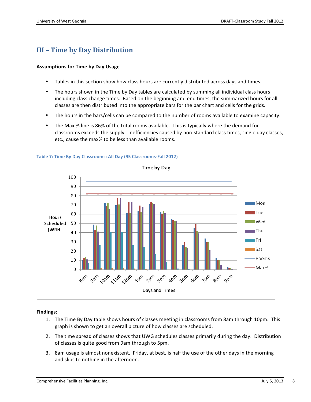# **III – Time by Day Distribution**

## **Assumptions for Time by Day Usage**

- Tables in this section show how class hours are currently distributed across days and times.
- The hours shown in the Time by Day tables are calculated by summing all individual class hours including class change times. Based on the beginning and end times, the summarized hours for all classes are then distributed into the appropriate bars for the bar chart and cells for the grids.
- The hours in the bars/cells can be compared to the number of rooms available to examine capacity.
- The Max % line is 86% of the total rooms available. This is typically where the demand for classrooms exceeds the supply. Inefficiencies caused by non-standard class times, single day classes, etc., cause the max% to be less than available rooms.



**Table 7: Time By Day Classrooms: All Day (95 Classrooms-Fall 2012)** 

## **Findings:**

- 1. The Time By Day table shows hours of classes meeting in classrooms from 8am through 10pm. This graph is shown to get an overall picture of how classes are scheduled.
- 2. The time spread of classes shows that UWG schedules classes primarily during the day. Distribution of classes is quite good from 9am through to 5pm.
- 3. 8am usage is almost nonexistent. Friday, at best, is half the use of the other days in the morning and slips to nothing in the afternoon.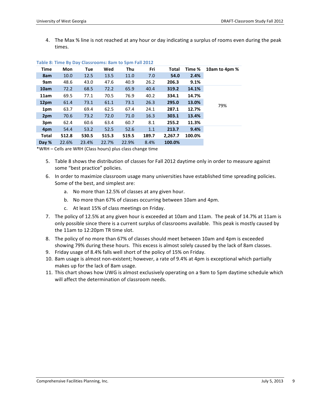4. The Max % line is not reached at any hour or day indicating a surplus of rooms even during the peak times.

| 10am to 4pm % | Time % | Total   | Fri   | Thu   | Wed   | Tue   | Mon   | Time         |
|---------------|--------|---------|-------|-------|-------|-------|-------|--------------|
|               | 2.4%   | 54.0    | 7.0   | 11.0  | 13.5  | 12.5  | 10.0  | 8am          |
|               | 9.1%   | 206.3   | 26.2  | 40.9  | 47.6  | 43.0  | 48.6  | 9am          |
|               | 14.1%  | 319.2   | 40.4  | 65.9  | 72.2  | 68.5  | 72.2  | 10am         |
|               | 14.7%  | 334.1   | 40.2  | 76.9  | 70.5  | 77.1  | 69.5  | 11am         |
|               | 13.0%  | 295.0   | 26.3  | 73.1  | 61.1  | 73.1  | 61.4  | 12pm         |
| 79%           | 12.7%  | 287.1   | 24.1  | 67.4  | 62.5  | 69.4  | 63.7  | 1pm          |
|               | 13.4%  | 303.1   | 16.3  | 71.0  | 72.0  | 73.2  | 70.6  | 2pm          |
|               | 11.3%  | 255.2   | 8.1   | 60.7  | 63.4  | 60.6  | 62.4  | 3pm          |
|               | 9.4%   | 213.7   | 1.1   | 52.6  | 52.5  | 53.2  | 54.4  | 4pm          |
|               | 100.0% | 2,267.7 | 189.7 | 519.5 | 515.3 | 530.5 | 512.8 | <b>Total</b> |
|               |        | 100.0%  | 8.4%  | 22.9% | 22.7% | 23.4% | 22.6% | Day %        |

#### **Table 8: Time By Day Classrooms: 8am to 5pm Fall 2012**

\*WRH – Cells are WRH (Class hours) plus class change time

- 5. Table 8 shows the distribution of classes for Fall 2012 daytime only in order to measure against some "best practice" policies.
- 6. In order to maximize classroom usage many universities have established time spreading policies. Some of the best, and simplest are:
	- a. No more than 12.5% of classes at any given hour.
	- b. No more than 67% of classes occurring between 10am and 4pm.
	- c. At least 15% of class meetings on Friday.
- 7. The policy of 12.5% at any given hour is exceeded at 10am and 11am. The peak of 14.7% at 11am is only possible since there is a current surplus of classrooms available. This peak is mostly caused by the 11am to 12:20pm TR time slot.
- 8. The policy of no more than 67% of classes should meet between 10am and 4pm is exceeded showing 79% during these hours. This excess is almost solely caused by the lack of 8am classes.
- 9. Friday usage of 8.4% falls well short of the policy of 15% on Friday.
- 10. 8am usage is almost non-existent; however, a rate of 9.4% at 4pm is exceptional which partially makes up for the lack of 8am usage.
- 11. This chart shows how UWG is almost exclusively operating on a 9am to 5pm daytime schedule which will affect the determination of classroom needs.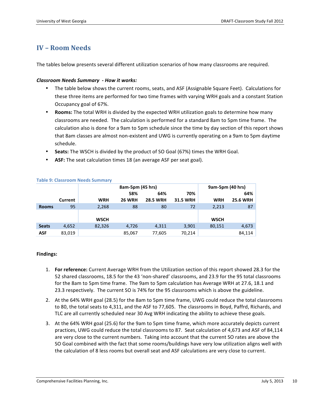# **IV – Room Needs**

The tables below presents several different utilization scenarios of how many classrooms are required.

## *Classroom Needs Summary - How it works:*

- The table below shows the current rooms, seats, and ASF (Assignable Square Feet). Calculations for these three items are performed for two time frames with varying WRH goals and a constant Station Occupancy goal of 67%.
- **Rooms:** The total WRH is divided by the expected WRH utilization goals to determine how many classrooms are needed. The calculation is performed for a standard 8am to 5pm time frame. The calculation also is done for a 9am to 5pm schedule since the time by day section of this report shows that 8am classes are almost non-existent and UWG is currently operating on a 9am to 5pm daytime schedule.
- Seats: The WSCH is divided by the product of SO Goal (67%) times the WRH Goal.
- ASF: The seat calculation times 18 (an average ASF per seat goal).

|              |         |             | 8am-5pm (45 hrs) |                 | 9am-5pm (40 hrs) |             |                 |
|--------------|---------|-------------|------------------|-----------------|------------------|-------------|-----------------|
|              |         |             | 58%              | 64%             | 70%              |             | 64%             |
|              | Current | <b>WRH</b>  | <b>26 WRH</b>    | <b>28.5 WRH</b> | <b>31.5 WRH</b>  | WRH         | <b>25.6 WRH</b> |
| <b>Rooms</b> | 95      | 2,268       | 88               | 80              | 72               | 2,213       | 87              |
|              |         |             |                  |                 |                  |             |                 |
|              |         | <b>WSCH</b> |                  |                 |                  | <b>WSCH</b> |                 |
| <b>Seats</b> | 4,652   | 82,326      | 4,726            | 4,311           | 3,901            | 80,151      | 4,673           |
| ASF          | 83,019  |             | 85,067           | 77,605          | 70,214           |             | 84.114          |

#### **Table 9: Classroom Needs Summary**

## **Findings:**

- 1. **For reference:** Current Average WRH from the Utilization section of this report showed 28.3 for the 52 shared classrooms, 18.5 for the 43 'non-shared' classrooms, and 23.9 for the 95 total classrooms for the 8am to 5pm time frame. The 9am to 5pm calculation has Average WRH at 27.6, 18.1 and 23.3 respectively. The current SO is 74% for the 95 classrooms which is above the guideline.
- 2. At the 64% WRH goal (28.5) for the 8am to 5pm time frame, UWG could reduce the total classrooms to 80, the total seats to 4,311, and the ASF to 77,605. The classrooms in Boyd, Paffrd, Richards, and TLC are all currently scheduled near 30 Avg WRH indicating the ability to achieve these goals.
- 3. At the 64% WRH goal (25.6) for the 9am to 5pm time frame, which more accurately depicts current practices, UWG could reduce the total classrooms to 87. Seat calculation of 4,673 and ASF of 84,114 are very close to the current numbers. Taking into account that the current SO rates are above the SO Goal combined with the fact that some rooms/buildings have very low utilization aligns well with the calculation of 8 less rooms but overall seat and ASF calculations are very close to current.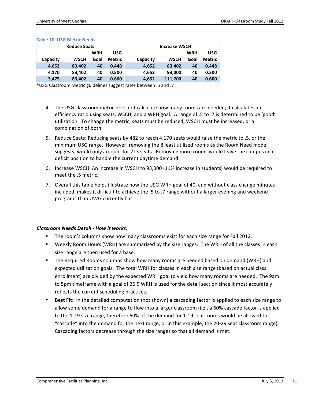|          | <b>Reduce Seats</b> |            |        |          | <b>Increase WSCH</b> |            |               |
|----------|---------------------|------------|--------|----------|----------------------|------------|---------------|
|          |                     | <b>WRH</b> | USG    |          |                      | <b>WRH</b> | USG           |
| Capacity | <b>WSCH</b>         | Goal       | Metric | Capacity | <b>WSCH</b>          | Goal       | <b>Metric</b> |
| 4.652    | 83,402              | 40         | 0.448  | 4,652    | 83,402               | 40         | 0.448         |
| 4.170    | 83,402              | 40         | 0.500  | 4,652    | 93,000               | 40         | 0.500         |
| 3,475    | 83,402              | 40         | 0.600  | 4,652    | 111,700              | 40         | 0.600         |

#### **Table 10: USG Metric Needs**

\*USG Classroom Metric guidelines suggest rates between .5 and .7

- 4. The USG classroom metric does not calculate how many rooms are needed; it calculates an efficiency ratio using seats, WSCH, and a WRH goal. A range of .5 to .7 is determined to be 'good' utilization. To change the metric, seats must be reduced, WSCH must be increased, or a combination of both.
- 5. Reduce Seats: Reducing seats by 482 to reach 4,170 seats would raise the metric to .5, or the minimum USG range. However, removing the 8 least utilized rooms as the Room Need model suggests, would only account for 213 seats. Removing more rooms would leave the campus in a deficit position to handle the current daytime demand.
- 6. Increase WSCH: An increase in WSCH to 93,000 (11% increase in students) would be required to meet the .5 metric.
- 7. Overall this table helps illustrate how the USG WRH goal of 40, and without class change minutes included, makes it difficult to achieve the .5 to .7 range without a larger evening and weekend programs than UWG currently has.

## *Classroom Needs Detail - How it works:*

- The room's columns show how many classrooms exist for each size range for Fall 2012.
- Weekly Room Hours (WRH) are summarized by the size ranges. The WRH of all the classes in each size range are then used for a base.
- The Required Rooms columns show how many rooms are needed based on demand (WRH) and expected utilization goals. The total WRH for classes in each size range (based on actual class enrollment) are divided by the expected WRH goal to yield how many rooms are needed. The 9am to 5pm timeframe with a goal of 26.5 WRH is used for the detail section since it most accurately reflects the current scheduling practices.
- **Best Fit:** In the detailed computation (not shown) a cascading factor is applied to each size range to allow some demand for a range to flow into a larger classroom (i.e., a 60% cascade factor is applied to the 1-19 size range, therefore 60% of the demand for 1-19 seat rooms would be allowed to "cascade" into the demand for the next range, or in this example, the 20-29 seat classroom range). Cascading factors decrease through the size ranges so that all demand is met.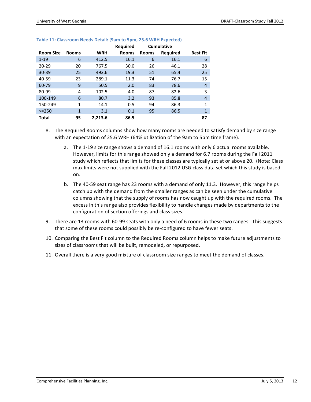|                  |              |            | <b>Required</b> | <b>Cumulative</b> |          |                 |
|------------------|--------------|------------|-----------------|-------------------|----------|-----------------|
| <b>Room Size</b> | <b>Rooms</b> | <b>WRH</b> | <b>Rooms</b>    | <b>Rooms</b>      | Required | <b>Best Fit</b> |
| $1 - 19$         | 6            | 412.5      | 16.1            | 6                 | 16.1     | 6               |
| $20 - 29$        | 20           | 767.5      | 30.0            | 26                | 46.1     | 28              |
| $30 - 39$        | 25           | 493.6      | 19.3            | 51                | 65.4     | 25              |
| $40 - 59$        | 23           | 289.1      | 11.3            | 74                | 76.7     | 15              |
| 60-79            | 9            | 50.5       | 2.0             | 83                | 78.6     | $\overline{4}$  |
| 80-99            | 4            | 102.5      | 4.0             | 87                | 82.6     | 3               |
| 100-149          | 6            | 80.7       | 3.2             | 93                | 85.8     | 4               |
| 150-249          | 1            | 14.1       | 0.5             | 94                | 86.3     | $\overline{1}$  |
| $>= 250$         | $\mathbf{1}$ | 3.1        | 0.1             | 95                | 86.5     | $\overline{1}$  |
| Total            | 95           | 2.213.6    | 86.5            |                   |          | 87              |

#### **Table 11: Classroom Needs Detail: (9am to 5pm, 25.6 WRH Expected)**

- 8. The Required Rooms columns show how many rooms are needed to satisfy demand by size range with an expectation of 25.6 WRH (64% utilization of the 9am to 5pm time frame).
	- a. The 1-19 size range shows a demand of 16.1 rooms with only 6 actual rooms available. However, limits for this range showed only a demand for 6.7 rooms during the Fall 2011 study which reflects that limits for these classes are typically set at or above 20. (Note: Class max limits were not supplied with the Fall 2012 USG class data set which this study is based on.
	- b. The 40-59 seat range has 23 rooms with a demand of only 11.3. However, this range helps catch up with the demand from the smaller ranges as can be seen under the cumulative columns showing that the supply of rooms has now caught up with the required rooms. The excess in this range also provides flexibility to handle changes made by departments to the configuration of section offerings and class sizes.
- 9. There are 13 rooms with 60-99 seats with only a need of 6 rooms in these two ranges. This suggests that some of these rooms could possibly be re-configured to have fewer seats.
- 10. Comparing the Best Fit column to the Required Rooms column helps to make future adjustments to sizes of classrooms that will be built, remodeled, or repurposed.
- 11. Overall there is a very good mixture of classroom size ranges to meet the demand of classes.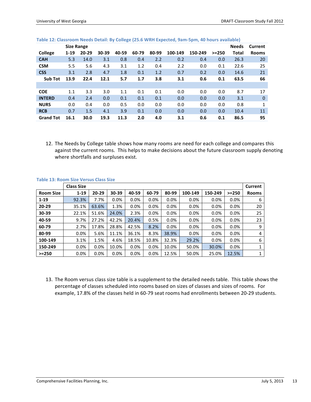|                  | <b>Size Range</b> |           |       |       |       |       |         |         |           | <b>Needs</b> | Current      |
|------------------|-------------------|-----------|-------|-------|-------|-------|---------|---------|-----------|--------------|--------------|
| College          | $1 - 19$          | $20 - 29$ | 30-39 | 40-59 | 60-79 | 80-99 | 100-149 | 150-249 | $> = 250$ | Total        | <b>Rooms</b> |
| <b>CAH</b>       | 5.3               | 14.0      | 3.1   | 0.8   | 0.4   | 2.2   | 0.2     | 0.4     | 0.0       | 26.3         | 20           |
| <b>CSM</b>       | 5.5               | 5.6       | 4.3   | 3.1   | 1.2   | 0.4   | 2.2     | 0.0     | 0.1       | 22.6         | 25           |
| <b>CSS</b>       | 3.1               | 2.8       | 4.7   | 1.8   | 0.1   | 1.2   | 0.7     | 0.2     | 0.0       | 14.6         | 21           |
| <b>Sub Tot</b>   | 13.9              | 22.4      | 12.1  | 5.7   | 1.7   | 3.8   | 3.1     | 0.6     | 0.1       | 63.5         | 66           |
|                  |                   |           |       |       |       |       |         |         |           |              |              |
| <b>COE</b>       | 1.1               | 3.3       | 3.0   | 1.1   | 0.1   | 0.1   | 0.0     | 0.0     | 0.0       | 8.7          | 17           |
| <b>INTERD</b>    | 0.4               | 2.4       | 0.0   | 0.1   | 0.1   | 0.1   | 0.0     | 0.0     | 0.0       | 3.1          | 0            |
| <b>NURS</b>      | 0.0               | 0.4       | 0.0   | 0.5   | 0.0   | 0.0   | 0.0     | 0.0     | 0.0       | 0.8          | 1            |
| <b>RCB</b>       | 0.7               | 1.5       | 4.1   | 3.9   | 0.1   | 0.0   | 0.0     | 0.0     | 0.0       | 10.4         | 11           |
| <b>Grand Tot</b> | 16.1              | 30.0      | 19.3  | 11.3  | 2.0   | 4.0   | 3.1     | 0.6     | 0.1       | 86.5         | 95           |

#### **Table 12: Classroom Needs Detail: By College (25.6 WRH Expected, 9am-5pm, 40 hours available)**

12. The Needs by College table shows how many rooms are need for each college and compares this against the current rooms. This helps to make decisions about the future classroom supply denoting where shortfalls and surpluses exist.

|                  | <b>Class Size</b> |           |       |       |         |       |         |         |         | Current      |
|------------------|-------------------|-----------|-------|-------|---------|-------|---------|---------|---------|--------------|
| <b>Room Size</b> | $1 - 19$          | $20 - 29$ | 30-39 | 40-59 | 60-79   | 80-99 | 100-149 | 150-249 | $>=250$ | <b>Rooms</b> |
| $1 - 19$         | 92.3%             | 7.7%      | 0.0%  | 0.0%  | 0.0%    | 0.0%  | 0.0%    | 0.0%    | 0.0%    | 6            |
| $20 - 29$        | 35.1%             | 63.6%     | 1.3%  | 0.0%  | $0.0\%$ | 0.0%  | 0.0%    | 0.0%    | $0.0\%$ | 20           |
| 30-39            | 22.1%             | 51.6%     | 24.0% | 2.3%  | 0.0%    | 0.0%  | 0.0%    | 0.0%    | 0.0%    | 25           |
| 40-59            | 9.7%              | 27.2%     | 42.2% | 20.4% | 0.5%    | 0.0%  | 0.0%    | 0.0%    | 0.0%    | 23           |
| 60-79            | 2.7%              | 17.8%     | 28.8% | 42.5% | 8.2%    | 0.0%  | 0.0%    | 0.0%    | 0.0%    | 9            |
| 80-99            | 0.0%              | 5.6%      | 11.1% | 36.1% | 8.3%    | 38.9% | 0.0%    | 0.0%    | 0.0%    | 4            |
| 100-149          | 3.1%              | 1.5%      | 4.6%  | 18.5% | 10.8%   | 32.3% | 29.2%   | 0.0%    | 0.0%    | 6            |
| 150-249          | $0.0\%$           | 0.0%      | 10.0% | 0.0%  | 0.0%    | 10.0% | 50.0%   | 30.0%   | 0.0%    | 1            |
| $>=250$          | 0.0%              | 0.0%      | 0.0%  | 0.0%  | 0.0%    | 12.5% | 50.0%   | 25.0%   | 12.5%   | 1            |

#### **Table 13: Room Size Versus Class Size**

13. The Room versus class size table is a supplement to the detailed needs table. This table shows the percentage of classes scheduled into rooms based on sizes of classes and sizes of rooms. For example, 17.8% of the classes held in 60-79 seat rooms had enrollments between 20-29 students.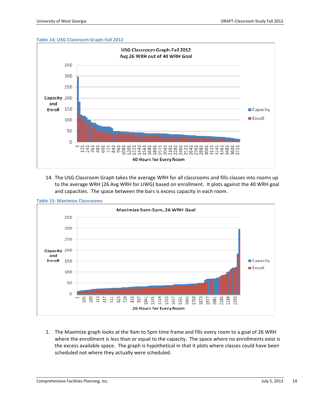#### **Table 14: USG Classroom Graph-Fall 2012**



14. The USG Classroom Graph takes the average WRH for all classrooms and fills classes into rooms up to the average WRH (26 Avg WRH for UWG) based on enrollment. It plots against the 40 WRH goal and capacities. The space between the bars is excess capacity in each room.



1. The Maximize graph looks at the 9am to 5pm time frame and fills every room to a goal of 26 WRH where the enrollment is less than or equal to the capacity. The space where no enrollments exist is the excess available space. The graph is hypothetical in that it plots where classes could have been scheduled not where they actually were scheduled.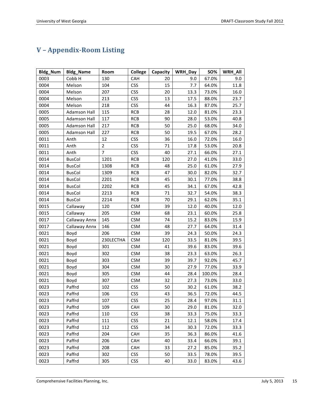# **V – Appendix-Room Listing**

| <b>Bldg_Num</b> | <b>Bldg_Name</b>    | Room           | <b>College</b> | Capacity | WRH_Day | SO%    | <b>WRH All</b> |
|-----------------|---------------------|----------------|----------------|----------|---------|--------|----------------|
| 0003            | Cobb <sub>H</sub>   | 130            | CAH            | 20       | 9.0     | 67.0%  | 9.0            |
| 0004            | Melson              | 104            | <b>CSS</b>     | 15       | 7.7     | 64.0%  | 11.8           |
| 0004            | Melson              | 207            | <b>CSS</b>     | 20       | 13.3    | 73.0%  | 16.0           |
| 0004            | Melson              | 213            | <b>CSS</b>     | 13       | 17.5    | 88.0%  | 23.7           |
| 0004            | Melson              | 218            | <b>CSS</b>     | 44       | 16.3    | 87.0%  | 25.7           |
| 0005            | <b>Adamson Hall</b> | 115            | <b>RCB</b>     | 28       | 12.0    | 81.0%  | 23.3           |
| 0005            | Adamson Hall        | 117            | <b>RCB</b>     | 90       | 28.0    | 53.0%  | 40.8           |
| 0005            | <b>Adamson Hall</b> | 217            | <b>RCB</b>     | 50       | 25.0    | 68.0%  | 34.0           |
| 0005            | <b>Adamson Hall</b> | 227            | <b>RCB</b>     | 50       | 19.5    | 67.0%  | 28.2           |
| 0011            | Anth                | 12             | <b>CSS</b>     | 36       | 16.0    | 72.0%  | 16.0           |
| 0011            | Anth                | $\overline{2}$ | <b>CSS</b>     | 71       | 17.8    | 53.0%  | 20.8           |
| 0011            | Anth                | $\overline{7}$ | <b>CSS</b>     | 40       | 27.1    | 66.0%  | 27.1           |
| 0014            | <b>BusCol</b>       | 1201           | <b>RCB</b>     | 120      | 27.0    | 41.0%  | 33.0           |
| 0014            | <b>BusCol</b>       | 1308           | <b>RCB</b>     | 48       | 25.0    | 61.0%  | 27.9           |
| 0014            | <b>BusCol</b>       | 1309           | <b>RCB</b>     | 47       | 30.0    | 82.0%  | 32.7           |
| 0014            | <b>BusCol</b>       | 2201           | <b>RCB</b>     | 45       | 30.1    | 77.0%  | 38.8           |
| 0014            | <b>BusCol</b>       | 2202           | <b>RCB</b>     | 45       | 34.1    | 67.0%  | 42.8           |
| 0014            | <b>BusCol</b>       | 2213           | <b>RCB</b>     | 71       | 32.7    | 54.0%  | 38.3           |
| 0014            | <b>BusCol</b>       | 2214           | <b>RCB</b>     | 70       | 29.1    | 62.0%  | 35.1           |
| 0015            | Callaway            | 120            | <b>CSM</b>     | 39       | 12.0    | 40.0%  | 12.0           |
| 0015            | Callaway            | 205            | <b>CSM</b>     | 68       | 23.1    | 60.0%  | 25.8           |
| 0017            | Callaway Annx       | 145            | <b>CSM</b>     | 74       | 15.2    | 83.0%  | 15.9           |
| 0017            | Callaway Annx       | 146            | <b>CSM</b>     | 48       | 27.7    | 64.0%  | 31.4           |
| 0021            | Boyd                | 206            | <b>CSM</b>     | 39       | 24.3    | 50.0%  | 24.3           |
| 0021            | Boyd                | 230LECTHA      | <b>CSM</b>     | 120      | 33.5    | 81.0%  | 39.5           |
| 0021            | Boyd                | 301            | <b>CSM</b>     | 41       | 39.6    | 83.0%  | 39.6           |
| 0021            | Boyd                | 302            | <b>CSM</b>     | 38       | 23.3    | 63.0%  | 26.3           |
| 0021            | Boyd                | 303            | <b>CSM</b>     | 39       | 39.7    | 92.0%  | 45.7           |
| 0021            | Boyd                | 304            | <b>CSM</b>     | 30       | 27.9    | 77.0%  | 33.9           |
| 0021            | Boyd                | 305            | <b>CSM</b>     | 44       | 28.4    | 100.0% | 28.4           |
| 0021            | Boyd                | 307            | <b>CSM</b>     | 32       | 27.3    | 73.0%  | 33.0           |
| 0023            | Paffrd              | 102            | <b>CSS</b>     | 50       | 30.2    | 61.0%  | 38.2           |
| 0023            | Paffrd              | 106            | <b>CSS</b>     | 43       | 36.5    | 72.0%  | 44.5           |
| 0023            | Paffrd              | 107            | <b>CSS</b>     | 25       | 28.4    | 97.0%  | 31.1           |
| 0023            | Paffrd              | 109            | CAH            | 30       | 29.0    | 81.0%  | 32.0           |
| 0023            | Paffrd              | 110            | <b>CSS</b>     | 38       | 33.3    | 75.0%  | 33.3           |
| 0023            | Paffrd              | 111            | <b>CSS</b>     | 21       | 12.1    | 58.0%  | 17.4           |
| 0023            | Paffrd              | 112            | <b>CSS</b>     | 34       | 30.3    | 72.0%  | 33.3           |
| 0023            | Paffrd              | 204            | <b>CAH</b>     | 35       | 36.3    | 86.0%  | 41.6           |
| 0023            | Paffrd              | 206            | CAH            | 40       | 33.4    | 66.0%  | 39.1           |
| 0023            | Paffrd              | 208            | CAH            | 33       | 27.2    | 85.0%  | 35.2           |
| 0023            | Paffrd              | 302            | <b>CSS</b>     | 50       | 33.5    | 78.0%  | 39.5           |
| 0023            | Paffrd              | 305            | <b>CSS</b>     | 40       | 33.0    | 83.0%  | 43.6           |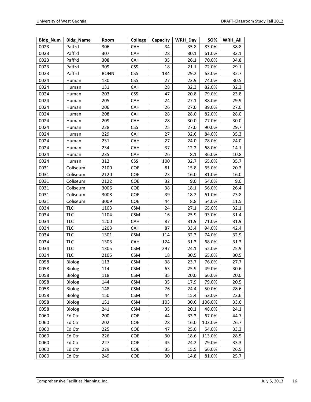| Bldg_Num | <b>Bldg_Name</b> | Room        | College    | Capacity | WRH_Day | <b>SO%</b> | WRH_All |
|----------|------------------|-------------|------------|----------|---------|------------|---------|
| 0023     | Paffrd           | 306         | CAH        | 34       | 35.8    | 83.0%      | 38.8    |
| 0023     | Paffrd           | 307         | CAH        | 28       | 30.1    | 61.0%      | 33.1    |
| 0023     | Paffrd           | 308         | CAH        | 35       | 26.1    | 70.0%      | 34.8    |
| 0023     | Paffrd           | 309         | <b>CSS</b> | 18       | 21.1    | 72.0%      | 29.1    |
| 0023     | Paffrd           | <b>BONN</b> | <b>CSS</b> | 184      | 29.2    | 63.0%      | 32.7    |
| 0024     | Human            | 130         | <b>CSS</b> | 27       | 23.9    | 74.0%      | 30.5    |
| 0024     | Human            | 131         | CAH        | 28       | 32.3    | 82.0%      | 32.3    |
| 0024     | Human            | 203         | <b>CSS</b> | 47       | 20.8    | 79.0%      | 23.8    |
| 0024     | Human            | 205         | CAH        | 24       | 27.1    | 88.0%      | 29.9    |
| 0024     | Human            | 206         | CAH        | 26       | 27.0    | 89.0%      | 27.0    |
| 0024     | Human            | 208         | CAH        | 28       | 28.0    | 82.0%      | 28.0    |
| 0024     | Human            | 209         | CAH        | 28       | 30.0    | 77.0%      | 30.0    |
| 0024     | Human            | 228         | <b>CSS</b> | 25       | 27.0    | 90.0%      | 29.7    |
| 0024     | Human            | 229         | CAH        | 27       | 32.6    | 84.0%      | 35.3    |
| 0024     | Human            | 231         | CAH        | 27       | 24.0    | 78.0%      | 24.0    |
| 0024     | Human            | 234         | CAH        | 37       | 12.2    | 68.0%      | 14.1    |
| 0024     | Human            | 235         | CAH        | 26       | 8.1     | 36.0%      | 10.8    |
| 0024     | Human            | 312         | <b>CSS</b> | 100      | 32.7    | 65.0%      | 35.7    |
| 0031     | Coliseum         | 2100        | COE        | 81       | 15.8    | 65.0%      | 20.3    |
| 0031     | Coliseum         | 2120        | COE        | 23       | 16.0    | 81.0%      | 16.0    |
| 0031     | Coliseum         | 2122        | COE        | 32       | 9.0     | 54.0%      | 9.0     |
| 0031     | Coliseum         | 3006        | COE        | 38       | 18.1    | 56.0%      | 26.4    |
| 0031     | Coliseum         | 3008        | COE        | 39       | 18.2    | 61.0%      | 23.8    |
| 0031     | Coliseum         | 3009        | COE        | 44       | 8.8     | 54.0%      | 11.5    |
| 0034     | <b>TLC</b>       | 1103        | <b>CSM</b> | 24       | 27.1    | 65.0%      | 32.1    |
| 0034     | <b>TLC</b>       | 1104        | <b>CSM</b> | 16       | 25.9    | 93.0%      | 31.4    |
| 0034     | <b>TLC</b>       | 1200        | CAH        | 87       | 31.9    | 71.0%      | 31.9    |
| 0034     | <b>TLC</b>       | 1203        | CAH        | 87       | 33.4    | 94.0%      | 42.4    |
| 0034     | <b>TLC</b>       | 1301        | <b>CSM</b> | 114      | 32.3    | 74.0%      | 32.9    |
| 0034     | <b>TLC</b>       | 1303        | CAH        | 124      | 31.3    | 68.0%      | 31.3    |
| 0034     | <b>TLC</b>       | 1305        | <b>CSM</b> | 297      | 24.1    | 52.0%      | 25.9    |
| 0034     | <b>TLC</b>       | 2105        | <b>CSM</b> | 18       | 30.5    | 65.0%      | 30.5    |
| 0058     | Biolog           | 113         | <b>CSM</b> | 38       | 23.7    | 76.0%      | 27.7    |
| 0058     | Biolog           | 114         | <b>CSM</b> | 63       | 25.9    | 49.0%      | 30.6    |
| 0058     | <b>Biolog</b>    | 118         | <b>CSM</b> | 35       | 20.0    | 66.0%      | 20.0    |
| 0058     | Biolog           | 144         | <b>CSM</b> | 35       | 17.9    | 79.0%      | 20.5    |
| 0058     | Biolog           | 148         | <b>CSM</b> | 76       | 24.4    | 50.0%      | 28.6    |
| 0058     | Biolog           | 150         | <b>CSM</b> | 44       | 15.4    | 53.0%      | 22.6    |
| 0058     | Biolog           | 151         | <b>CSM</b> | 103      | 30.6    | 106.0%     | 33.6    |
| 0058     | <b>Biolog</b>    | 241         | <b>CSM</b> | 35       | 20.1    | 48.0%      | 24.1    |
| 0060     | Ed Ctr           | 200         | COE        | 44       | 33.3    | 67.0%      | 44.7    |
| 0060     | Ed Ctr           | 202         | <b>COE</b> | 28       | 16.0    | 103.0%     | 26.7    |
| 0060     | Ed Ctr           | 225         | COE        | 47       | 25.0    | 54.0%      | 33.3    |
| 0060     | Ed Ctr           | 226         | COE        | 30       | 18.6    | 113.0%     | 28.5    |
| 0060     | Ed Ctr           | 227         | COE        | 45       | 24.2    | 79.0%      | 33.3    |
| 0060     | Ed Ctr           | 229         | COE        | 35       | 15.5    | 66.0%      | 26.5    |
| 0060     | Ed Ctr           | 249         | COE        | 30       | 14.8    | 81.0%      | 25.7    |